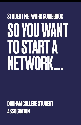# SO YOU WANT TO START A NETWORK…. STUDENT NETWORK GUIDEBOOK

**DURHAM COLLEGE STUDENT ASSOCIATION**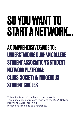# **SO YOU WANT TO START A NETWORK…**

**A COMPREHENSIVE GUIDE TO : UNDERSTANDING DURHAM COLLEGE STUDENT ASSOCIATION'S STUDENT NETWORK PLATFORM: CLUBS, SOCIETY & INDIGENOUS STUDENT CIRCLES**

This guide is for informational purposes only; This guide does not replace reviewing the DCSA Network Policy and Guidelines in full. Please use this guide as a reference.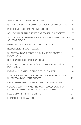| WHY START A STUDENT NETWORK?                                                                   | 4              |
|------------------------------------------------------------------------------------------------|----------------|
| IS IT A CLUB, SOCIETY OR INDIGENOUS STUDENT CIRCLE?                                            | 5              |
| REQUIREMENTS FOR STARTING A CLUB:                                                              | 6              |
| ADDITIONAL REQUIREMENTS FOR STARTING A SOCIETY:                                                | $\overline{7}$ |
| ADDITIONAL REQUIREMENTS FOR STARTING AN INDIGENOUS<br><b>STUDENT CIRCLE:</b>                   | 7              |
| PETITIONING TO START A STUDENT NETWORK                                                         | 8              |
| RESPONSIBILITIES AS A LEADER                                                                   | 11             |
| UNDERSTANDING REPORTING. SUBMITTING FORMS &<br><b>DOCUMENTS</b>                                | 12             |
| <b>BEST PRACTICES FOR OPERATIONS</b>                                                           | 14             |
| DIGITIZING STUDENT NETWORKS I UNDERSTANDING CLUB<br><b>PLATFORMS</b>                           | 16             |
| EVENTS & SUBMITTING CLUB EVENT REQUESTS                                                        | 18             |
| SOFTWARE, PRIZES, SUPPLIES AND OTHER EVENT COSTS -<br>UNDERSTANDING YOUR BUDGET                | 22             |
| LEGAL STUFF: WHAT YOUR BUDGET CANNOT COVER                                                     | 23             |
| SOCIAL MEDIA & PROMOTING YOUR CLUB, SOCIETY OR<br><b>INDIGENOUS GROUP ONLINE AND ON-CAMPUS</b> | 24             |
| <b>LEGAL STUFF: THE NITTY GRITTY</b>                                                           | 27             |
| FOR MORE INFORMATION:                                                                          | 28             |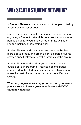# <span id="page-3-0"></span>**WHY START A STUDENT NETWORK?**

A **Student Network** is an association of people united by a common interest or goal.

One of the best and most common reasons for starting or joining a Student Network is because it allows you to pursue an activity you enjoy, whether that's Ultimate Frisbee, baking, or something else!

Student Networks allow you to practice a hobby, learn more about a topic, and organize or take part in events created specifically to reflect the interests of the group.

Student Networks also allow you to meet students outside of your program of interest, become better connected to the student community and allow you to make the best of your student experience at Durham College!

**Whether you join an existing group or start your own you are sure to have a great experience with DCSA Student Networks!**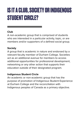# <span id="page-4-0"></span>**IS IT A CLUB, SOCIETY OR INDIGENOUS STUDENT CIRCLE?**

#### **Club**

A non-academic group that is comprised of students who are interested in a particular activity, topic, or are members and/or supporters of a defined social group.

#### **Society**

A group that is academic in nature and endorsed by a relevant faculty member of Durham College. Societies act as an additional avenue for members to access additional opportunities for professional development, networking or any other action that supports their education outside of their designated program.

#### **Indigenous Student Circle**

An academic or non-academic group that has the purpose of promotion of Indigenous Student Experience at Durham College and the reconciliation with Indigenous peoples of Canada as a primary objective.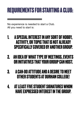# <span id="page-5-0"></span>**REQUIREMENTS FOR STARTING A CLUB:**

No experience is needed to start a Club. All you need to start is:

- **1. A SPECIAL INTEREST IN ANY SORT OF HOBBY, ACTIVITY, OR TOPIC THAT IS NOT ALREADY SPECIFICALLY COVERED BY ANOTHER GROUP.**
- **2. AN IDEA OF WHAT TYPE OF MEETINGS, EVENTS OR INITIATIVES THAT YOUR GROUP CAN HOST.**
- **3. A CAN-DO ATTITUDE AND A DESIRE TO MEET OTHER STUDENTS AT DURHAM COLLEGE!**
- **4. AT LEAST FIVE STUDENT SIGNATURES WHOM HAVE EXPRESSED INTEREST IN THE GROUP.**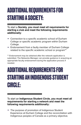# <span id="page-6-0"></span>**ADDITIONAL REQUIREMENTS FOR STARTING A SOCIETY:**

To start a **Society, you must meet all requirements for starting a club and meet the following requirements additionally**:

- Connection to a specific academic school of Durham College or specific academic program within Durham College.
- Endorsement from a faulty member of Durham College related to the specific academic school or program\*\*

\*\* Endorsement may be obtained after the network application is submitted. The Networks Manager can provide guidance in acquiring an appropriate faculty endorsement during the application process if needed.

### <span id="page-6-1"></span>**ADDITIONAL REQUIREMENTS FOR STARTING AN INDIGENOUS STUDENT CIRCLE:**

To start an **Indigenous Student Circle, you must meet all requirements for starting a network and meet the following requirements additionally:**

- The purpose of promotion of Indigenous Student Experience at Durham College and the reconciliation with Indigenous peoples of Canada as a primary objective.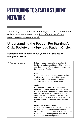# <span id="page-7-0"></span>**PETITIONING TO START A STUDENT NETWORK**

To officially start a Student Network, you must complete our [online petition - accessible at https://mydcsa.ca/dcsa](https://mydcsa.ca/dcsa-networks/start-a-new-network/)[networks/start-a-new-network/](https://mydcsa.ca/dcsa-networks/start-a-new-network/)

#### **Understanding the Petition For Starting A Club, Society or Indigenous Student Circle.**

#### **Section 1: Information about your Club, Society or Indigenous Group**

| 1. We wish to form a: | Select whether you desire to create a Club,<br>Society or Indigenous Student Circle - please<br>see descriptions of each student network type<br>for further clarification.                                                                                                                                                                                 |
|-----------------------|-------------------------------------------------------------------------------------------------------------------------------------------------------------------------------------------------------------------------------------------------------------------------------------------------------------------------------------------------------------|
|                       | Club<br>A non-academic group that is comprised of<br>students who are interested in a particular<br>activity, topic, or are members and/or<br>supporters of a defined social group.                                                                                                                                                                         |
|                       | <b>Society</b><br>A group that is academic in nature and<br>endorsed by a relevant faculty member of<br>Durham College. Societies act as an additional<br>avenue for members to access additional<br>opportunities for professional development,<br>networking or any other action that supports<br>their education outside of their designated<br>program. |
|                       | <b>Indigenous Student Circle</b><br>An academic or non-academic group that has<br>the purpose of promotion of Indigenous<br>Student Experience at Durham College and the<br>reconciliation with Indigenous peoples of<br>Canada as a primary objective.                                                                                                     |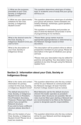| 3. What are the purposes<br>(mandate) of your Club,<br>Society, or Indigenous<br>Student Circle?         | This question determines what type of hobby,<br>topic or academic area of study that your group<br>will focus on.                                                                                                     |
|----------------------------------------------------------------------------------------------------------|-----------------------------------------------------------------------------------------------------------------------------------------------------------------------------------------------------------------------|
| 4. What are your ideal events/<br>initiatives for the Club,<br>Society, or Indigenous<br>Student Circle? | This question determines what type of activities<br>your group will produce. Some examples are;<br>weekly meetings, workshops, guest speakers,<br>contests, and more.<br>This question is not binding and provides an |
|                                                                                                          | idea of what the Network will provide in terms<br>of programming for its members.                                                                                                                                     |
| What is the desired name for<br>the Club, Society, or<br>Indigenous Student Circle you<br>wish to form:  | *Please Note: group names must be<br>appropriate (appropriateness is determined by<br>the Network manager based on their<br>discretion)                                                                               |
| What is the description of<br>your Club, Society or<br>Indigenous Group                                  | This description will be posted online to attract<br>prospective members to your group. Please be<br>descriptive in the type of initiatives your group<br>will host.                                                  |
|                                                                                                          | *Please note your description may be edited for<br>grammar and spelling. Your description may be<br>updated at any time through using the Network<br>Update Form.                                                     |

#### **Section 2: Information about your Club, Society or Indigenous Group**

| What is the name and contact<br>information for primary<br>contact for this Club, Society,<br>or Indigenous Student Circle?                                                                                                                                                               | This question determines who the key contact<br>will be for your Network to communicate with<br>the Network manager. At least 1 full-time<br>Durham College student must be named.                                                                                                              |
|-------------------------------------------------------------------------------------------------------------------------------------------------------------------------------------------------------------------------------------------------------------------------------------------|-------------------------------------------------------------------------------------------------------------------------------------------------------------------------------------------------------------------------------------------------------------------------------------------------|
| The default structure for a<br>Club, Society, or Indigenous<br>Student Circle is President.<br>Vice-President, Secretary,<br>Treasurer. Please type default<br>below if you accept this<br>Network structure.<br>If you wish to have a different<br>structure please describe it<br>here. | Most Networks opt for the default structure<br>wherein the leader operates as president -<br>however other structures are possible. Not all<br>roles must be filled upon starting a Network but<br>are recommended to be filled as the Network<br>grows to designate specific responsibilities. |
| Who are the leaders of your<br>Club, Society, or Indigenous<br>Student Circle? Please list at<br>least two students.                                                                                                                                                                      | This question determines who the key contacts<br>will be for your Network and their designated<br>responsibilities.                                                                                                                                                                             |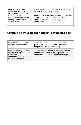| Please provide contact<br>information for a staff or<br>facility member you have | For Societies, you must be associated with a<br>School or Academic Program. |
|----------------------------------------------------------------------------------|-----------------------------------------------------------------------------|
| spoken to to discuss                                                             | Please enter N/A if you are applying to become                              |
| collaboration between the                                                        | a Club or an Indigenous Student Circle.                                     |
| Society and School or                                                            | Please enter TBA if you do not yet have                                     |
| Academic Program.                                                                | endorsement.                                                                |

#### **Section 3: Policy, Legal, and Acceptance of Responsibility**

| Please review and accept the<br>attached Network policy:                                                                             | All Network must abide by the rules and<br>policies set forth in the Club, Society and<br>Indigenous Student Circle policy            |
|--------------------------------------------------------------------------------------------------------------------------------------|---------------------------------------------------------------------------------------------------------------------------------------|
| Does the primary contact for<br>the Network agree to their<br>responsibility of<br>communicating with the<br><b>Network Manager?</b> | All Networks must have at least one primary<br>contact who agrees to the responsibility of<br>communicating with the Network Manager. |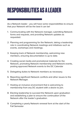### <span id="page-10-0"></span>**RESPONSIBILITIES AS A LEADER**

As a Network leader - you will have some responsibilities to ensure that your Network will be the best it can be!

- 1. Communicating with the Network manager, submitting Network forms and requests, and providing Network updates as requested.
- 2. Planning and programming for the Network, taking a leadership role in coordinating Network meetings and initiatives such as events, workshops and meetings.
- 3. Keeping track of Network membership, welcoming new members, ensuring documentation is up to date.
- 4. Creating social media and promotional materials for the Network, promoting Network membership and Network events, posting approved Network events to the DC Calendar
- 5. Delegating duties to Network members as necessary.
- 6. Reporting significant Network conflicts and other issues to the Network Manager.
- 7. Hosting an inclusive environment that is welcoming to membership from any DC student with a desire to join.
- 8. Electing leadership to succeed the Network upon graduation and establishing a plan to ensure the continuation of the Network after the leader's graduation.
- 9. Completing a yearly Network renewal form at the start of the Fall Semester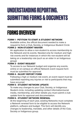# <span id="page-11-0"></span>**UNDERSTANDING REPORTING. SUBMITTING FORMS & DOCUMENTS**

### **FORMS OVERVIEW**

#### **FORM 1 - PETITION TO START A STUDENT NETWORK**

Available online, the official document needed to make a request to form a Club, Society, or Indigenous Student Circle **FORM 2 - NON-STUDENT WAIVER**

An application to allow a non-student to access membership to the Network and its events. Needed only for medium and high risk events and for instances in which the non-student will be taking on a leadership role (such as an elder in an Indigenous group)

#### **FORM 3 - EVENT REQUEST**

To access to our Network budget and organize any events, online or on-campus an official Network event request form must be submitted for approval.

#### **FORM 4 - INJURY REPORT FORM**

Following a high or medium risk event, an event report must be submitted reporting any injuries or risk to participants that may have occurred

#### **FORM 5 - STUDENT NETWORK UPDATE**

To make any changes to your Club, Society, or Indigenous Student circle, including updating contact information/social media, membership, and other details you must submit a club update form for approval and documentation.

#### **FORM 6 - STUDENT NETWORK RENEWAL**

At the beginning of each year, existing Networks must complete a Network renewal form to be eligible to access the Network platform, software and budget. This form will identify any changes to leadership, mandate, and other details of the Club, Society or Indigenous group.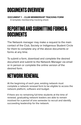### **DOCUMENTS OVERVIEW**

**DOCUMENT 1 - CLUB MEMBERSHIP TRACKING FORM**

A template membership tracking sheet.

#### **REPORTING AND SUBMITTING FORMS & DOCUMENTS**

The Network manager may make a request to the main contact of the Club, Society or Indigenous Student Circle for them to complete any of the above documents or forms at any time.

To submit a form, download and complete the desired document and submit to the Network Manager via email or in person or complete the online version of the desired form.

### **NETWORK RENEWAL**

At the beginning of each year, existing network must complete a network renewal form to be eligible to access the network platform, software and budget.

If there are no remaining full-time students at the time of renewal, graduating network leaders are able to remain involved for a period of one semester to recruit and identify succeeding leadership for the network.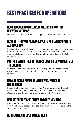# <span id="page-13-0"></span>**BEST PRACTICES FOR OPERATIONS**

#### **HOST REOCCURRING WEEKLY/BI-WEEKLY OR MONTHLY NETWORK MEETINGS:**

Having a set time makes it easier for your network members to join in!

#### **HOST BOTH PRIVATE NETWORK EVENTS AND EVENTS OPEN TO ALL STUDENTS**

Having private network events allows your members to get to know each other better and take part in initiatives related to the network! Events open to all students allows your Network to promote itself to the full student body.

#### **PARTNER WITH OTHER NETWORKS, DCSA OR DEPARTMENTS OF THE COLLEGE**

Partnering with other networks, DCSA or departments of the college allows you to expand your reach and expose your network to more students.

#### **REWARD ACTIVE MEMBERS WITH SWAG, PRIZES OR RECOGNITION**

Recognize the students who make your Network awesome! Through providing prizes, swag or shouting them out, you encourage other students to see the benefits of being active in the Network!

#### **DELEGATE LEADERSHIP DUTIES TO OTHER MEMBERS**

Running a Network is hard work! Don't hesitate to utilize the strengths of your members. Ask around and see if any members want to take on the social media or marketing.

#### **BE CREATIVE AND OPEN TO NEW IDEAS!**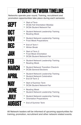### **STUDENT NETWORK TIMELINE**

Networks operate year round. Training, recruitment and promotion opportunities take place during each semester.

| <b>SEPT</b>  | Start of Term<br>- DCSA Fall Orientation Week(s)<br><b>DCSA Student Network Fair</b>      |
|--------------|-------------------------------------------------------------------------------------------|
| OCT          | <b>Student Network Leadership Training</b><br><b>Reading Week</b>                         |
| <b>NOV</b>   | - Student Network Leadership Training<br>- Frost Week Preparations                        |
| DEC          | $=$ End of Term 1<br>- Winter Break                                                       |
| JAN          | Start of Term 2<br>- Frost Week Orientation<br><b>DCSA Student Network Fair</b>           |
| FEB          | - Student Network Leadership Training<br>- Reading Week                                   |
| <b>MARCH</b> | <b>Student Network Transition Check-In</b><br>- DCSA General Elections                    |
| <b>APRIL</b> | Student Network Leadership Training<br>Student Network Celebration<br>$=$ Fnd Of Term $2$ |
| MAY          | <b>Start of Summer Term</b><br><b>DCSA Student Network Fair</b>                           |
| JUNE         | - Reading Week<br>Student Network Leadership Training                                     |
| <b>JULY</b>  | Student Network Leadership Training<br><b>Orientation Preparations</b>                    |
| AUGUST       | $=$ End of Summer Term                                                                    |

All Network leaders will be informed of upcoming opportunities for training, promotion, recruitment and other network related events.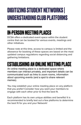# <span id="page-15-0"></span>**DIGITIZING STUDENT NETWORKS | UNDERSTANDING CLUB PLATFORMS**

# **IN-PERSON MEETING PLACES**

DCSA offers a dedicated event space within the student centre that can be booked for various events, meetings and other initiatives.

Please note at this time, access to campus is limited and the allowance for booking of these spaces are based on the most updated campus regulations regarding social distancing and gathering limitations.

### **ESTABLISHING AN ONLINE MEETING PLACE**

An online meeting place is a dedicated space where members can interact privately, and important details can be communicated such as links to zoom rooms, information about upcoming events (and a spot to share relevant memes).

You may establish your online meeting place on any platform that you prefer! Consider how you want your members to engage with each other prior to find the best fit.

Each platform has its own unique abilities and benefits! It is recommended to briefly test out a few platforms to determine the best fit for you and your Network!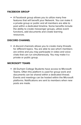#### **FACEBOOK GROUP**

 $-$  A Facebook group allows you to utilize many free features that will benefit your Network. You can make it a private group or public and all members are able to post within a dedicated timeline. Some benefits include the ability to create messenger groups, utilize event functions, add documents and create learning resources.

#### **DISCORD CHANNEL**

- A discord channels allows you to create many threads for different topics. You are able to see which members are online and you may participate in video and voice chats that can run simultaneously. You may make it a private or public group.

#### **MICROSOFT TEAMS**

- All Durham College Students have access to Microsoft Teams. Often this platform is used for group work and documents can be shared within a dedicated thread. Events and meetings can be hosted within the Microsoft platforms. Notifications are sent to members when new posts are made.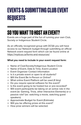# <span id="page-17-0"></span>**EVENTS & SUBMITTING CLUB EVENT REQUESTS**

# **SO YOU WANT TO HOST AN EVENT?**

Events are a huge part of the fun of running your own Club, Society or Indigenous Student Circle.

As an officially recognized group with DCSA you will have access to our Network budget through submitting an official Network event request form which can be found online at <https://mydcsa.ca/forms-and-resources/>

#### **What you need to include in your event request form:**

- Name of Club/Society/Indigenous Student Circle
- Name of Event, Date & Time, Event Location
- **Event Organizer Contact Information**
- $*$  Is it a private event or open to all students?
- Will the Event Be In-Person or Online?
- What online Event Platform will be used (If Any)
- **EX4** Do you require special software for the event?
- \* Is the event going to be hosted live or pre-recorded?
- Will event participants be taking on an active role in the event (ie: Gaming, Trivia, other Interactive Elements) or a passive role? (ex: watching a movie, watching guest speakers)
- Approximate Budget for Event (Estimate)
- **Will you be offering prizes at this event?**
- \* How prize winners will be selected.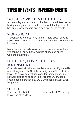# **TYPES OF EVENTS | IN-PERSON EVENTS**

#### GUEST SPEAKERS & LECTURERS

Is there a big name in your niche that you are interested in having as a guest - we can help you with the logistics of booking guest speakers and organizing online events.

#### WORKSHOPS

Workshops are a great way to learn more about specific topics. Workshops can be lecture based or can be hands-on in nature.

Many organizations have pivoted to offer online workshops. We can help you with the logistics of booking online workshop facilitators.

#### CONTESTS, COMPETITIONS & TOURNAMENTS

Compete against network members to show off your skills related to your Club, Society or Indigenous Student Circle topic. Contests, competitions and tournaments can be Network exclusive or open to all full-time DC students. Prizing can be provided by DCSA through Network Event Requests.

OTHER...<br>The sky is the limit to the events you can host! We are open to your creative ideas.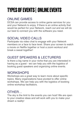# **TYPES OF EVENTS | ONLINE EVENTS**

#### ONLINE GAMES

DCSA can provide access to online game services for you and your Network to enjoy. If there is an online activity that would be perfect for your Network, reach out and we will do our best to connect you with the software you need.

#### SOCIAL VIDEO CALLS

Participate via video chat to engage with your Network members on a face to face level. Share your screen to watch a movie on Netflix together or host a zoom workout and break a sweat together!

#### GUEST SPEAKERS & LECTURERS

Is there a big name in your niche that you are interested in having as a guest - we can help you with the logistics of booking guest speakers and organizing online events.

#### **WORKSHOPS**

Workshops are a great way to learn more about specific topics. Many organizations have pivoted to offer online workshops. We can help you with the logistics of booking online workshop facilitators.

OTHER...<br>The sky is the limit to the events you can host! We are open to your creative ideas and will work with you to make your dream a reality!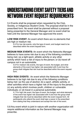### **UNDERSTANDING EVENT SAFETY TIERS AND NETWORK EVENT REQUEST REQUIREMENTS**

5.4 Events shall be proposed when requested by the Club, Society, or Indigenous Student Circle. The proposal shall be in the prescribed form. No event shall be planned without a proposal being presented to the General Manager and no event shall be held until the General Manager has approved the event.

**LOW RISK EVENT**: An event which there are no elements that are high or medium risk.

5.5 For low risk events, only the type of event, and budget need to be described within the event request form.

**MEDIUM RISK EVENTS:** An event which the Networks Manager believes to have some risk due to any of the following conditions being met; (a) a light sport, athletic activity or any other activity which have a risk of injury to the person; or (b) travel off campus not in an automobile.

5.6 For medium risk events, the type of event, the budget, and what elements of the event has higher risk associated with It and how the group shall mitigate that risk must be described within the event request form.

**HIGH RISK EVENTS** : An event which the Networks Manager believes to be high risk due to any of the following conditions being met: (a) the use of alcohol; (b) a sport, athletic activity, or other activities which have a higher risk of the injury to the person; (c) any activity which involves youth, children or vulnerable individuals; or (d) travel in a personal automobile.

5.7 For high risk event, the type of event, the budget, and what elements of the event has higher risk associated with It and how the group shall mitigate that risk must be described within the event request form. All participants who attend the event shall sign a waver in the prescribed form stating that they understand and accept the risk of the event.

5.8 Any event which is joint in nature with another organization will require additional information as the General Manager may prescribe.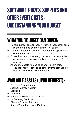# <span id="page-21-0"></span>**SOFTWARE, PRIZES, SUPPLIES AND OTHER EVENT COSTS - UNDERSTANDING YOUR BUDGET**

### **WHAT YOUR BUDGET CAN COVER:**

- Honorariums, speaker fees, workshop fees, other costs related to hiring event facilitators or talent.
- Software, equipment rentals, technology, supplies and other items needed to run the event.
- Prizes, food, and other tangible items to enhance the experience of the event online or on-campus (within reason)
- Attendance costs related to attending seminars, educational workshops or other events planned by outside organizers (within reason)

### **AVAILABLE ASSETS (UPON REQUEST) :**

- Premium Zoom Account
- Jackbox Games / Steam
- $\blacksquare$  Dropbox
- Typeform
- Access to Network Supply Closet
- DCSA Swag For Prizes
- Gleam Contest Software
- RunTheWorld.Me Event Platform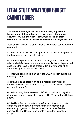# <span id="page-22-0"></span>**LEGAL STUFF: WHAT YOUR BUDGET CANNOT COVER**

**The Network Manager has the ability to deny any event or budget request deemed unnecessary or above the regular allowances within the Network structure based on their discretion. All decisions made by the Network Manager are final.** 

Additionally Durham College Students Association cannot fund an event which is:

a) offensive, misogynistic, homophobic, or otherwise inappropriate for the campus community in nature;

b) to promote partisan politics or the proselytization of specific religious beliefs, however discourse of specific issues is permitted as long as the issue is to be presented in a fair manner which further dialogue on the specific issue;

c) to feature candidates running in the DCSA election during the campaign period;

d) to feature candidates running in a federal, provincial, or municipal election in a manner that gives one an ability to speak over another; and/or

e) likely to bring the operations of DCSA or Durham College into disrepute, or would impact the image of DCSA or Durham College poorly.

5.10 A Club, Society or Indigenous Student Circle may receive donations of a minor nature from community members or community organization, but such a donation must first be approved by the General Manager to ensure the integrity of DCSA.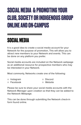# <span id="page-23-0"></span>**SOCIAL MEDIA & PROMOTING YOUR CLUB, SOCIETY OR INDIGENOUS GROUP ONLINE AND ON-CAMPUS**

### **SOCIAL MEDIA**

It is a good idea to create a social media account for your Network for the purpose of promotion, This will allow you to attract new members to your Network and events. This can be done on any platform you prefer.

Social media accounts are included on the Network webpage as an additional resource for prospective members who may be interested in your Network.

Most commonly, Networks create one of the following:

| $*$ Instagram | * Discord   |
|---------------|-------------|
| * Facebook    | $*$ Website |

Please be sure to share your social media accounts with the Network Manager upon creation so that they can be added to the Network Webpage.

This can be done through submitting the Network check-in form found online.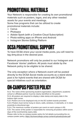### **PROMOTIONAL MATERIALS**

Your Network is responsible for creating its own promotional materials such as posters, logos, and any other needed assets for your events and meetings.

Some free programs that can be utilized to create promotional materials include:

- $*$  Canva
- Photopea
- Adobe Spark (with a Creative Cloud Subscription)
- **\*** Photo-editing apps on iPhone and Android
- **Instagram Stories Editing Platform**

### **DCSA PROMOTIONAL SUPPORT**

To have DCSA share your social media posts, you will need to tag @my.dcsa in the desired post.

Network promotions will only be posted to our Instagram and Facebook 'stories' platform. All posts must abide by the Network policy to be eligible to be shared.

The only exception where a Network event will be posted directly to the DCSA Social media accounts as a stand alone post is for hybrid events that are shared with DCSA for special initiatives such as orientation.

### **ON-CAMPUS POSTER POLICY**

5.1.2. The name of the sponsoring student organization, department, academic school or affiliated partner must be clearly identified on the poster.

5.1.4. All posters are required to display a date stamp and expiry date in the bottom right corner.

5.2.1. Posters are to be displayed only on the DC bulletin boards provided.

5.2.3. Posters must not be hung on doors, walls, windows, in stairwells, or in close proximity to directional sign

5.2.4. The maximum number of posters per event on each campus is 50.

5.3.1. The owner of the poster is responsible for removing all posters within seven days of the event/activity expiry date.

Please refer to the on-campus poster policy for full details surrounding the oncampus poster policy. <https://durhamcollege.ca/wp-content/uploads/poster.pdf>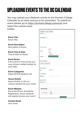### **UPLOADING EVENTS TO THE DC CALENDAR**

You may upload your Network events to the Durham College Calendar as an extra avenue to for promotion. To submit an event please go to<https://durhamcollege.ca/events> and

select the submit event button.

**Event Title**  Event Title

**Event Description** Description of Event

**Event Time & Date** Time & Date for Event

#### **Event Series**

If the event is reoccurring, you may include multiple listings for each date.

#### **Event Categories**

Select DCSI & Student Life

#### **Venue Details**

Select Online, or the oncampus location for your event

#### **Event Website**

Event link (Zoom, Eventbrite, Registration, where students will register/access your event

**Contact Email**  Your email

| <b>EVENT DESCRIPTION:</b> (required)                    |                                                                                      |
|---------------------------------------------------------|--------------------------------------------------------------------------------------|
|                                                         |                                                                                      |
| <b>EVENT TIME &amp; DATE</b>                            |                                                                                      |
| START/END:                                              | 2021-05-2<br>8:00am<br>to                                                            |
|                                                         | 5:00pm<br>2021-05-2                                                                  |
| <b>EVENT SERIES:</b>                                    | ALL DAY EVENT<br>SCHEDULE MULTIPLE EVENTS                                            |
|                                                         |                                                                                      |
| <b><i>EVENT CATEGORIES</i></b>                          |                                                                                      |
| » DCSI                                                  | » Student Life                                                                       |
| <b>VENUE DETAILS</b>                                    |                                                                                      |
| <b>VENUE:</b>                                           | Online × v                                                                           |
| <b>EVENT WEBSITE</b>                                    |                                                                                      |
| EXTERNAL LINK:                                          | Enter URL for event information                                                      |
|                                                         |                                                                                      |
| <b>CONTACT EMAIL</b><br><b>CONTACT EMAIL</b> (required) |                                                                                      |
|                                                         | Enter contact email for this event. The email will not display on the event listing. |
|                                                         |                                                                                      |
| ANTI-SPAM CHECK                                         |                                                                                      |
|                                                         |                                                                                      |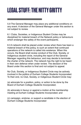## <span id="page-26-0"></span>**LEGAL STUFF: THE NITTY GRITTY**

5.9 The General Manager may place any additional conditions on any event. A decision of the General Manager under this section is not subject to review.

6.1 Clubs, Societies, or Indigenous Student Circles may be disciplined for material breach of the Network policy or behaviours which endanger the safety of the event participants.

6.3 A network shall be placed under review when there has been a material breach of this policy, to such an extent that continued operations of the network is called into existence. When this occurs, the Board shall review conduct of the Club, Society, or Indigenous student circle, including the report of the General Manager regarding this behaviour, and may decide to terminate the charter of the network. The network has the right to be heard in their own defence when under review. The decision of the Board under this section is final and not subject to appeal.

No Club, Society, or Indigenous Student Circle may be actively involved in the politics of Durham College Students Incorporated. To their end, no Club, Society, or Indigenous Student Circle may:

(a) advocate for a position, policy, or action to be done by the Board of Durham College Students Incorporated;

(b) advocate in favour or against a motion at the membership meeting at Durham College Students Incorporated; and

(c) campaign, endorse, or support a candidate in the election of Durham College Students Incorporated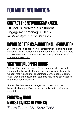# <span id="page-27-0"></span>**FOR MORE INFORMATION:**

### **CONTACT THE NETWORKS MANAGER :**

Liz Morris, Networks & Student Engagement Manager, DCSA *[liz.Morris@durhamcollege.ca](mailto:liz.Morris@durhamcollege.ca)*

### **DOWNLOAD FORMS & ADDITIONAL INFORMATION**

All forms and important network information, including digital copies of this guidebook and the network policy are available for download and virtual submission at [https://mydcsa.ca/](https://mydcsa.ca/forms-and-resources/) [forms-and-resources/](https://mydcsa.ca/forms-and-resources/)

#### **VISIT VIRTUAL OFFICE HOURS:**

Virtual office hours allow for Network leaders to drop in to speak to the Networks Manager about any topic they wish without making a formal appointment. Office hours operate every week and ensure that students may have easy access to the Networks Manager.

Student leaders are encouraged to connect with the Networks Manager if office hours conflict with their class schedule.

#### **FRIDAYS @ NOON** [MYDCSA.CA/DCSA-NETWORKS/](http://mydcsa.ca/dcsa-networks/) Zoom Room: 851 5482 7263